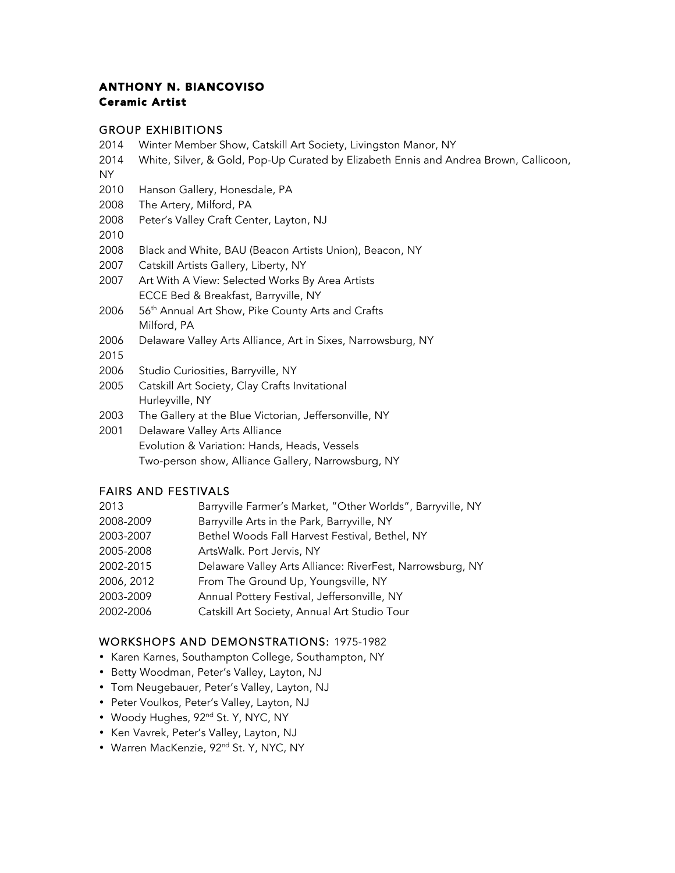## ANTHONY N. BIANCOVISO Ceramic Artist

### GROUP EXHIBITIONS

- 2014 Winter Member Show, Catskill Art Society, Livingston Manor, NY
- 2014 White, Silver, & Gold, Pop-Up Curated by Elizabeth Ennis and Andrea Brown, Callicoon, NY
- 2010 Hanson Gallery, Honesdale, PA
- 2008 The Artery, Milford, PA
- 2008 Peter's Valley Craft Center, Layton, NJ
- 2010
- 2008 Black and White, BAU (Beacon Artists Union), Beacon, NY
- 2007 Catskill Artists Gallery, Liberty, NY
- 2007 Art With A View: Selected Works By Area Artists ECCE Bed & Breakfast, Barryville, NY
- 2006 56<sup>th</sup> Annual Art Show, Pike County Arts and Crafts Milford, PA
- 2006 Delaware Valley Arts Alliance, Art in Sixes, Narrowsburg, NY
- 2015
- 2006 Studio Curiosities, Barryville, NY
- 2005 Catskill Art Society, Clay Crafts Invitational Hurleyville, NY
- 2003 The Gallery at the Blue Victorian, Jeffersonville, NY
- 2001 Delaware Valley Arts Alliance Evolution & Variation: Hands, Heads, Vessels Two-person show, Alliance Gallery, Narrowsburg, NY

#### FAIRS AND FESTIVALS

| 2013       | Barryville Farmer's Market, "Other Worlds", Barryville, NY |
|------------|------------------------------------------------------------|
| 2008-2009  | Barryville Arts in the Park, Barryville, NY                |
| 2003-2007  | Bethel Woods Fall Harvest Festival, Bethel, NY             |
| 2005-2008  | ArtsWalk. Port Jervis, NY                                  |
| 2002-2015  | Delaware Valley Arts Alliance: RiverFest, Narrowsburg, NY  |
| 2006, 2012 | From The Ground Up, Youngsville, NY                        |
| 2003-2009  | Annual Pottery Festival, Jeffersonville, NY                |
| 2002-2006  | Catskill Art Society, Annual Art Studio Tour               |

#### WORKSHOPS AND DEMONSTRATIONS: 1975-1982

- Karen Karnes, Southampton College, Southampton, NY
- Betty Woodman, Peter's Valley, Layton, NJ
- Tom Neugebauer, Peter's Valley, Layton, NJ
- Peter Voulkos, Peter's Valley, Layton, NJ
- Woody Hughes, 92<sup>nd</sup> St. Y, NYC, NY
- Ken Vavrek, Peter's Valley, Layton, NJ
- Warren MacKenzie, 92<sup>nd</sup> St. Y, NYC, NY